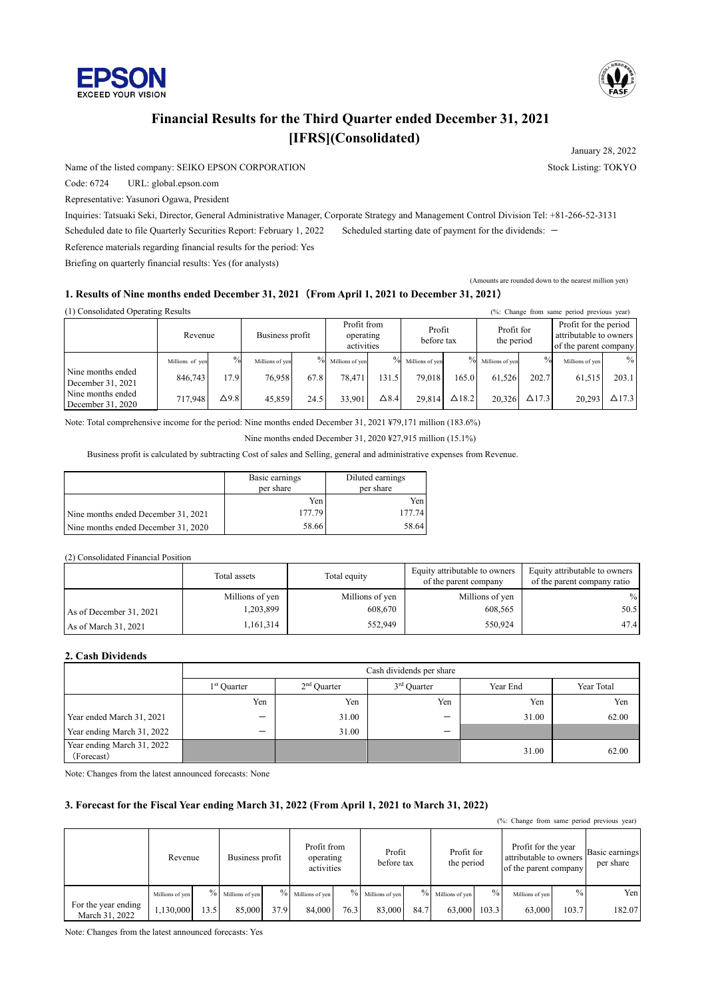



### **Financial Results for the Third Quarter ended December 31, 2021 [IFRS](Consolidated)**

Name of the listed company: SEIKO EPSON CORPORATION Stock Listing: TOKYO

Code: 6724 URL: global.epson.com

Representative: Yasunori Ogawa, President

Inquiries: Tatsuaki Seki, Director, General Administrative Manager, Corporate Strategy and Management Control Division Tel: +81-266-52-3131 Scheduled date to file Quarterly Securities Report: February 1, 2022 Scheduled starting date of payment for the dividends: -

Reference materials regarding financial results for the period: Yes

Briefing on quarterly financial results: Yes (for analysts)

#### **1. Results of Nine months ended December 31, 2021**(**From April 1, 2021 to December 31, 2021**)

 $(1)$  Consolidated Operating Results ( $\%$ : Change from same period previous year)

| (1) Consondated Operating Results      |                            |                       |                           |                       |                                        |               |                           |               |                           |                        | $(70)$ . Change from same period previous year)                          |                        |
|----------------------------------------|----------------------------|-----------------------|---------------------------|-----------------------|----------------------------------------|---------------|---------------------------|---------------|---------------------------|------------------------|--------------------------------------------------------------------------|------------------------|
|                                        | Revenue                    |                       | Business profit           |                       | Profit from<br>operating<br>activities |               | Profit<br>before tax      |               | Profit for<br>the period  |                        | Profit for the period<br>attributable to owners<br>of the parent company |                        |
| Nine months ended<br>December 31, 2021 | Millions of yen<br>846,743 | $\frac{0}{0}$<br>17.9 | Millions of ven<br>76.958 | $\frac{0}{0}$<br>67.8 | Millions of ven<br>78,471              | $\%$<br>131.5 | Millions of ven<br>79.018 | $\%$<br>165.0 | Millions of ven<br>61.526 | $\frac{0}{0}$<br>202.7 | Millions of yen<br>61,515                                                | $\frac{0}{0}$<br>203.1 |
| Nine months ended<br>December 31, 2020 | 717,948                    | $\Delta$ 9.8          | 45.859                    | 24.5                  | 33.901                                 | $\Delta 8.4$  | 29,814                    | $\Delta$ 18.2 | 20.326                    | $\Delta$ 17.3          | 20.293                                                                   | $\Delta$ 17.3          |

Note: Total comprehensive income for the period: Nine months ended December 31, 2021 ¥79,171 million (183.6%)

Nine months ended December 31, 2020 ¥27,915 million (15.1%)

Business profit is calculated by subtracting Cost of sales and Selling, general and administrative expenses from Revenue.

|                                     | Basic earnings<br>per share | Diluted earnings<br>per share |
|-------------------------------------|-----------------------------|-------------------------------|
|                                     | Yen                         | Yen                           |
| Nine months ended December 31, 2021 | 177.79                      | 177.74                        |
| Nine months ended December 31, 2020 | 58.66                       | 58.64                         |

#### (2) Consolidated Financial Position

|                         | Total assets    | Total equity    | Equity attributable to owners<br>of the parent company | Equity attributable to owners<br>of the parent company ratio |
|-------------------------|-----------------|-----------------|--------------------------------------------------------|--------------------------------------------------------------|
|                         | Millions of yen | Millions of yen | Millions of yen                                        | $\%$                                                         |
| As of December 31, 2021 | 1,203,899       | 608,670         | 608,565                                                | 50.5                                                         |
| As of March 31, 2021    | 1,161,314       | 552,949         | 550,924                                                | 47.4                                                         |

### **2. Cash Dividends**

|                                          | Cash dividends per share |               |                          |          |            |  |  |  |  |
|------------------------------------------|--------------------------|---------------|--------------------------|----------|------------|--|--|--|--|
|                                          | 1 <sup>st</sup> Quarter  | $2nd$ Ouarter | 3 <sup>rd</sup> Quarter  | Year End | Year Total |  |  |  |  |
|                                          | Yen                      | Yen           | Yen                      | Yen      | Yen        |  |  |  |  |
| Year ended March 31, 2021                | $\overline{\phantom{m}}$ | 31.00         | $\overline{\phantom{m}}$ | 31.00    | 62.00      |  |  |  |  |
| Year ending March 31, 2022               | -                        | 31.00         | $\overline{\phantom{0}}$ |          |            |  |  |  |  |
| Year ending March 31, 2022<br>(Forecast) |                          |               |                          | 31.00    | 62.00      |  |  |  |  |

Note: Changes from the latest announced forecasts: None

#### **3. Forecast for the Fiscal Year ending March 31, 2022 (From April 1, 2021 to March 31, 2022)**

| (%: Change from same period previous year) |                 |               |                 |      |                                        |      |                      |      |                          |               |                                                                        |       |                             |
|--------------------------------------------|-----------------|---------------|-----------------|------|----------------------------------------|------|----------------------|------|--------------------------|---------------|------------------------------------------------------------------------|-------|-----------------------------|
|                                            | Revenue         |               | Business profit |      | Profit from<br>operating<br>activities |      | Profit<br>before tax |      | Profit for<br>the period |               | Profit for the year<br>attributable to owners<br>of the parent company |       | Basic earnings<br>per share |
|                                            | Millions of yen | $\frac{0}{0}$ | Millions of yen |      | $\%$ Millions of yen                   |      | $\%$ Millions of yen |      | $\%$ Millions of yen     | $\frac{0}{0}$ | Millions of yen                                                        | $\%$  | Yen                         |
| For the year ending<br>March 31, 2022      | 1,130,000       | 13.5          | 85,000          | 37.9 | 84,000                                 | 76.3 | 83,000               | 84.7 | 63,000                   | 103.3         | 63,000                                                                 | 103.7 | 182.07                      |

Note: Changes from the latest announced forecasts: Yes

January 28, 2022

(Amounts are rounded down to the nearest million yen)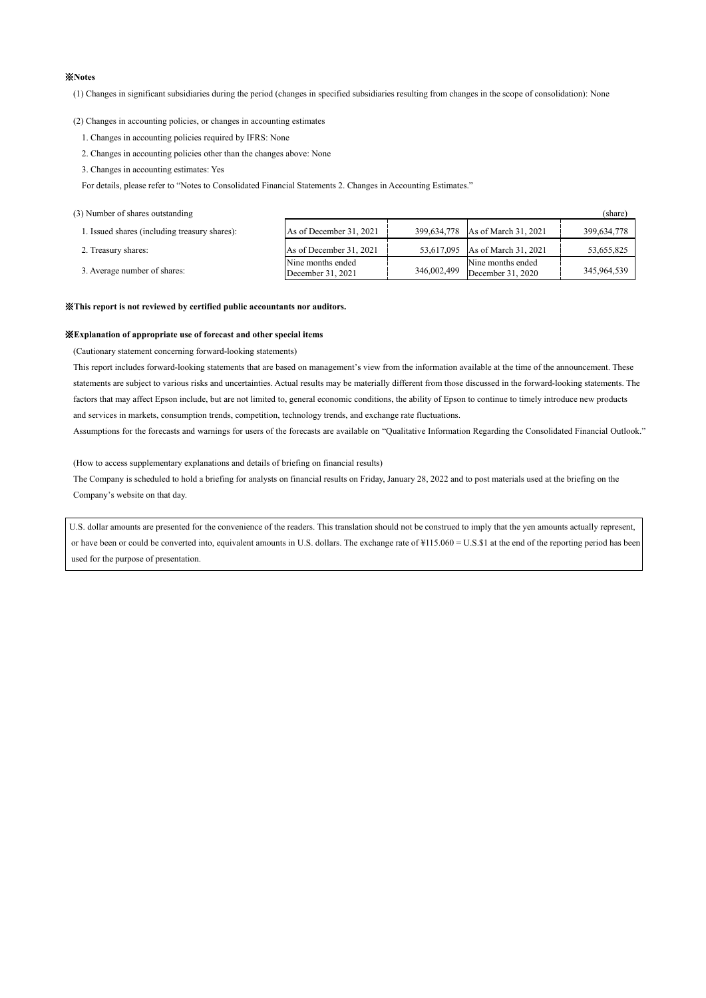#### ※**Notes**

(1) Changes in significant subsidiaries during the period (changes in specified subsidiaries resulting from changes in the scope of consolidation): None

(2) Changes in accounting policies, or changes in accounting estimates

- 1. Changes in accounting policies required by IFRS: None
- 2. Changes in accounting policies other than the changes above: None
- 3. Changes in accounting estimates: Yes

For details, please refer to "Notes to Consolidated Financial Statements 2. Changes in Accounting Estimates."

(3) Number of shares outstanding (share)

| 1. Issued shares (including treasury shares): | As of December 31, 2021                | 399.634.778 | As of March 31, 2021                   | 399,634,778 |
|-----------------------------------------------|----------------------------------------|-------------|----------------------------------------|-------------|
| 2. Treasury shares:                           | As of December 31, 2021                |             | 53.617.095 As of March 31, 2021        | 53,655,825  |
| 3. Average number of shares:                  | Nine months ended<br>December 31, 2021 | 346,002,499 | Nine months ended<br>December 31, 2020 | 345,964,539 |

#### ※**This report is not reviewed by certified public accountants nor auditors.**

#### ※**Explanation of appropriate use of forecast and other special items**

(Cautionary statement concerning forward-looking statements)

This report includes forward-looking statements that are based on management's view from the information available at the time of the announcement. These statements are subject to various risks and uncertainties. Actual results may be materially different from those discussed in the forward-looking statements. The factors that may affect Epson include, but are not limited to, general economic conditions, the ability of Epson to continue to timely introduce new products and services in markets, consumption trends, competition, technology trends, and exchange rate fluctuations.

Assumptions for the forecasts and warnings for users of the forecasts are available on "Qualitative Information Regarding the Consolidated Financial Outlook."

(How to access supplementary explanations and details of briefing on financial results)

The Company is scheduled to hold a briefing for analysts on financial results on Friday, January 28, 2022 and to post materials used at the briefing on the Company's website on that day.

U.S. dollar amounts are presented for the convenience of the readers. This translation should not be construed to imply that the yen amounts actually represent, or have been or could be converted into, equivalent amounts in U.S. dollars. The exchange rate of  $\frac{4}{15.060} = U.S.\$ \$1 at the end of the reporting period has been used for the purpose of presentation.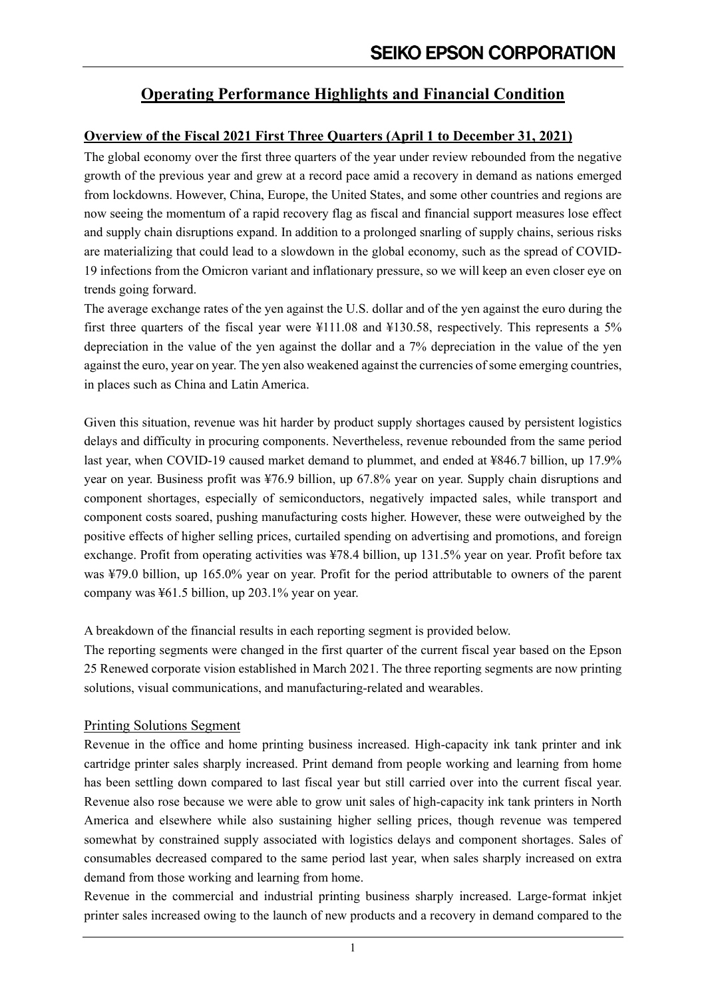## **Operating Performance Highlights and Financial Condition**

### **Overview of the Fiscal 2021 First Three Quarters (April 1 to December 31, 2021)**

The global economy over the first three quarters of the year under review rebounded from the negative growth of the previous year and grew at a record pace amid a recovery in demand as nations emerged from lockdowns. However, China, Europe, the United States, and some other countries and regions are now seeing the momentum of a rapid recovery flag as fiscal and financial support measures lose effect and supply chain disruptions expand. In addition to a prolonged snarling of supply chains, serious risks are materializing that could lead to a slowdown in the global economy, such as the spread of COVID-19 infections from the Omicron variant and inflationary pressure, so we will keep an even closer eye on trends going forward.

The average exchange rates of the yen against the U.S. dollar and of the yen against the euro during the first three quarters of the fiscal year were  $\text{\textsterling}111.08$  and  $\text{\textsterling}130.58$ , respectively. This represents a 5% depreciation in the value of the yen against the dollar and a 7% depreciation in the value of the yen against the euro, year on year. The yen also weakened against the currencies of some emerging countries, in places such as China and Latin America.

Given this situation, revenue was hit harder by product supply shortages caused by persistent logistics delays and difficulty in procuring components. Nevertheless, revenue rebounded from the same period last year, when COVID-19 caused market demand to plummet, and ended at ¥846.7 billion, up 17.9% year on year. Business profit was ¥76.9 billion, up 67.8% year on year. Supply chain disruptions and component shortages, especially of semiconductors, negatively impacted sales, while transport and component costs soared, pushing manufacturing costs higher. However, these were outweighed by the positive effects of higher selling prices, curtailed spending on advertising and promotions, and foreign exchange. Profit from operating activities was ¥78.4 billion, up 131.5% year on year. Profit before tax was ¥79.0 billion, up 165.0% year on year. Profit for the period attributable to owners of the parent company was ¥61.5 billion, up 203.1% year on year.

A breakdown of the financial results in each reporting segment is provided below.

The reporting segments were changed in the first quarter of the current fiscal year based on the Epson 25 Renewed corporate vision established in March 2021. The three reporting segments are now printing solutions, visual communications, and manufacturing-related and wearables.

### Printing Solutions Segment

Revenue in the office and home printing business increased. High-capacity ink tank printer and ink cartridge printer sales sharply increased. Print demand from people working and learning from home has been settling down compared to last fiscal year but still carried over into the current fiscal year. Revenue also rose because we were able to grow unit sales of high-capacity ink tank printers in North America and elsewhere while also sustaining higher selling prices, though revenue was tempered somewhat by constrained supply associated with logistics delays and component shortages. Sales of consumables decreased compared to the same period last year, when sales sharply increased on extra demand from those working and learning from home.

Revenue in the commercial and industrial printing business sharply increased. Large-format inkjet printer sales increased owing to the launch of new products and a recovery in demand compared to the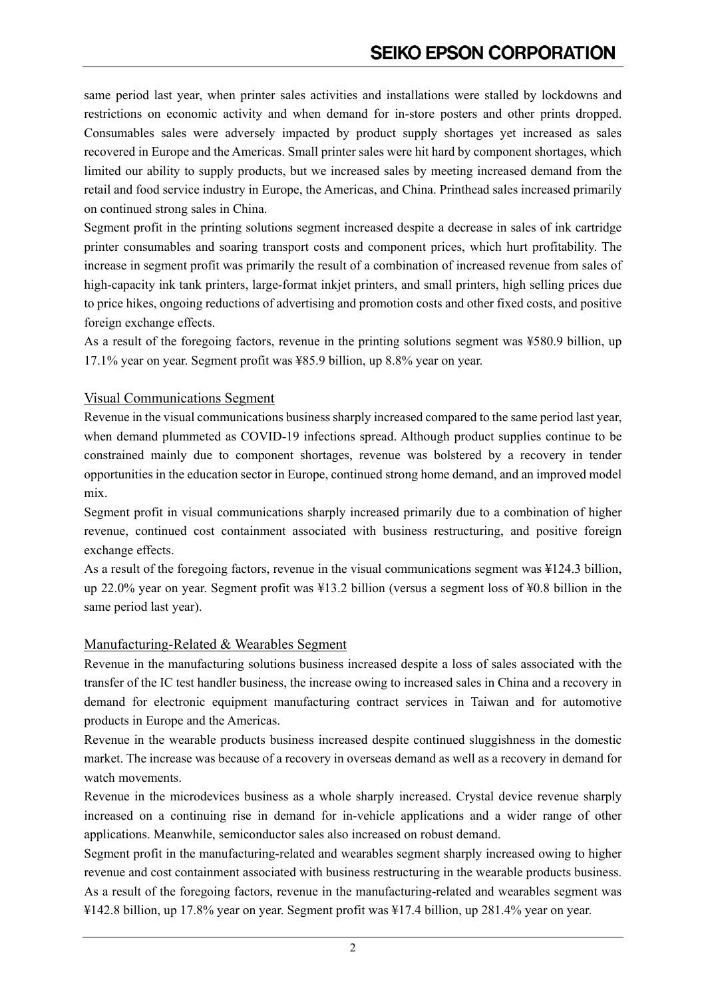same period last year, when printer sales activities and installations were stalled by lockdowns and restrictions on economic activity and when demand for in-store posters and other prints dropped. Consumables sales were adversely impacted by product supply shortages yet increased as sales recovered in Europe and the Americas. Small printer sales were hit hard by component shortages, which limited our ability to supply products, but we increased sales by meeting increased demand from the retail and food service industry in Europe, the Americas, and China. Printhead sales increased primarily on continued strong sales in China.

Segment profit in the printing solutions segment increased despite a decrease in sales of ink cartridge printer consumables and soaring transport costs and component prices, which hurt profitability. The increase in segment profit was primarily the result of a combination of increased revenue from sales of high-capacity ink tank printers, large-format inkjet printers, and small printers, high selling prices due to price hikes, ongoing reductions of advertising and promotion costs and other fixed costs, and positive foreign exchange effects.

As a result of the foregoing factors, revenue in the printing solutions segment was ¥580.9 billion, up 17.1% year on year. Segment profit was ¥85.9 billion, up 8.8% year on year.

### Visual Communications Segment

Revenue in the visual communications business sharply increased compared to the same period last year, when demand plummeted as COVID-19 infections spread. Although product supplies continue to be constrained mainly due to component shortages, revenue was bolstered by a recovery in tender opportunities in the education sector in Europe, continued strong home demand, and an improved model mix.

Segment profit in visual communications sharply increased primarily due to a combination of higher revenue, continued cost containment associated with business restructuring, and positive foreign exchange effects.

As a result of the foregoing factors, revenue in the visual communications segment was ¥124.3 billion, up 22.0% year on year. Segment profit was ¥13.2 billion (versus a segment loss of ¥0.8 billion in the same period last year).

### Manufacturing-Related & Wearables Segment

Revenue in the manufacturing solutions business increased despite a loss of sales associated with the transfer of the IC test handler business, the increase owing to increased sales in China and a recovery in demand for electronic equipment manufacturing contract services in Taiwan and for automotive products in Europe and the Americas.

Revenue in the wearable products business increased despite continued sluggishness in the domestic market. The increase was because of a recovery in overseas demand as well as a recovery in demand for watch movements.

Revenue in the microdevices business as a whole sharply increased. Crystal device revenue sharply increased on a continuing rise in demand for in-vehicle applications and a wider range of other applications. Meanwhile, semiconductor sales also increased on robust demand.

Segment profit in the manufacturing-related and wearables segment sharply increased owing to higher revenue and cost containment associated with business restructuring in the wearable products business. As a result of the foregoing factors, revenue in the manufacturing-related and wearables segment was ¥142.8 billion, up 17.8% year on year. Segment profit was ¥17.4 billion, up 281.4% year on year.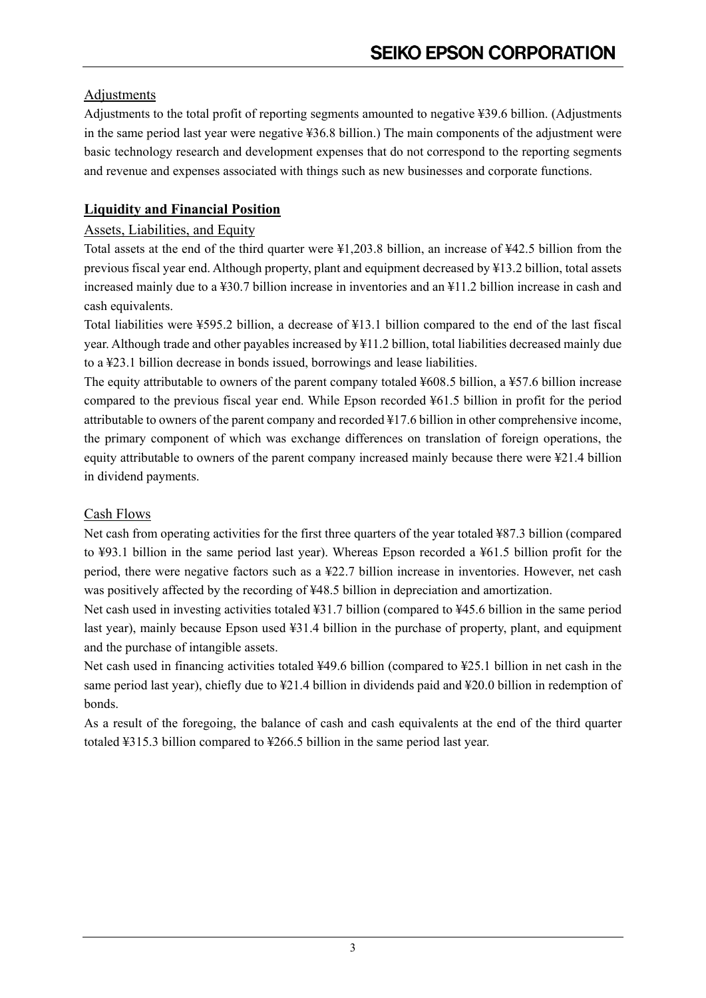### Adjustments

Adjustments to the total profit of reporting segments amounted to negative ¥39.6 billion. (Adjustments in the same period last year were negative ¥36.8 billion.) The main components of the adjustment were basic technology research and development expenses that do not correspond to the reporting segments and revenue and expenses associated with things such as new businesses and corporate functions.

## **Liquidity and Financial Position**

### Assets, Liabilities, and Equity

Total assets at the end of the third quarter were ¥1,203.8 billion, an increase of ¥42.5 billion from the previous fiscal year end. Although property, plant and equipment decreased by ¥13.2 billion, total assets increased mainly due to a ¥30.7 billion increase in inventories and an ¥11.2 billion increase in cash and cash equivalents.

Total liabilities were ¥595.2 billion, a decrease of ¥13.1 billion compared to the end of the last fiscal year. Although trade and other payables increased by ¥11.2 billion, total liabilities decreased mainly due to a ¥23.1 billion decrease in bonds issued, borrowings and lease liabilities.

The equity attributable to owners of the parent company totaled ¥608.5 billion, a ¥57.6 billion increase compared to the previous fiscal year end. While Epson recorded  $\frac{1}{2}61.5$  billion in profit for the period attributable to owners of the parent company and recorded ¥17.6 billion in other comprehensive income, the primary component of which was exchange differences on translation of foreign operations, the equity attributable to owners of the parent company increased mainly because there were ¥21.4 billion in dividend payments.

### Cash Flows

Net cash from operating activities for the first three quarters of the year totaled ¥87.3 billion (compared to ¥93.1 billion in the same period last year). Whereas Epson recorded a ¥61.5 billion profit for the period, there were negative factors such as a ¥22.7 billion increase in inventories. However, net cash was positively affected by the recording of ¥48.5 billion in depreciation and amortization.

Net cash used in investing activities totaled ¥31.7 billion (compared to ¥45.6 billion in the same period last year), mainly because Epson used ¥31.4 billion in the purchase of property, plant, and equipment and the purchase of intangible assets.

Net cash used in financing activities totaled ¥49.6 billion (compared to ¥25.1 billion in net cash in the same period last year), chiefly due to ¥21.4 billion in dividends paid and ¥20.0 billion in redemption of bonds.

As a result of the foregoing, the balance of cash and cash equivalents at the end of the third quarter totaled ¥315.3 billion compared to ¥266.5 billion in the same period last year.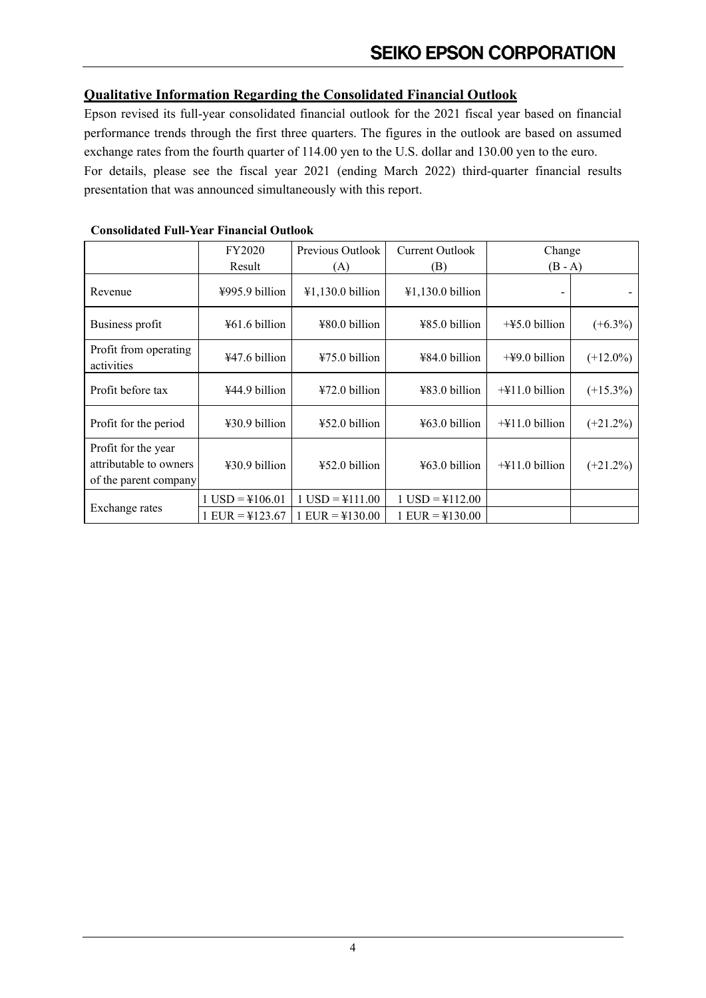### **Qualitative Information Regarding the Consolidated Financial Outlook**

Epson revised its full-year consolidated financial outlook for the 2021 fiscal year based on financial performance trends through the first three quarters. The figures in the outlook are based on assumed exchange rates from the fourth quarter of 114.00 yen to the U.S. dollar and 130.00 yen to the euro. For details, please see the fiscal year 2021 (ending March 2022) third-quarter financial results presentation that was announced simultaneously with this report.

|                                                                        | FY2020                          | Previous Outlook               | Current Outlook                | Change                             |             |
|------------------------------------------------------------------------|---------------------------------|--------------------------------|--------------------------------|------------------------------------|-------------|
|                                                                        | Result                          | (A)                            | (B)                            | $(B - A)$                          |             |
| Revenue                                                                | $\frac{1}{2}995.9$ billion      | $\text{\#1,130.0}$ billion     | $\text{\#1,130.0}$ billion     | -                                  |             |
| Business profit                                                        | $\text{\#}61.6 \text{ billion}$ | $480.0$ billion                | $485.0$ billion                | $+45.0$ billion                    | $(+6.3\%)$  |
| Profit from operating<br>activities                                    | ¥47.6 billion                   | ¥75.0 billion                  | ¥84.0 billion                  | $+49.0$ billion                    | $(+12.0\%)$ |
| Profit before tax                                                      | ¥44.9 billion                   | $472.0 \text{ billion}$        | $483.0$ billion                | $+\frac{1}{2}11.0 \text{ billion}$ | $(+15.3\%)$ |
| Profit for the period                                                  | ¥30.9 billion                   | ¥52.0 billion                  | ¥63.0 billion                  | $+\frac{1}{2}11.0$ billion         | $(+21.2\%)$ |
| Profit for the year<br>attributable to owners<br>of the parent company | ¥30.9 billion                   | $452.0$ billion                | $\text{\#}63.0$ billion        | $\pm$ 411.0 billion                | $(+21.2\%)$ |
|                                                                        | $1$ USD = $\frac{1}{2}$ 106.01  | $1$ USD = $\frac{1}{2}$ 11.00  | $1$ USD = $\frac{1}{2}$ 112.00 |                                    |             |
| Exchange rates                                                         | $1$ EUR = $\frac{1}{2}$ 123.67  | $1$ EUR = $\frac{1}{2}$ 130.00 | $1$ EUR = \pm $130.00$         |                                    |             |

### **Consolidated Full-Year Financial Outlook**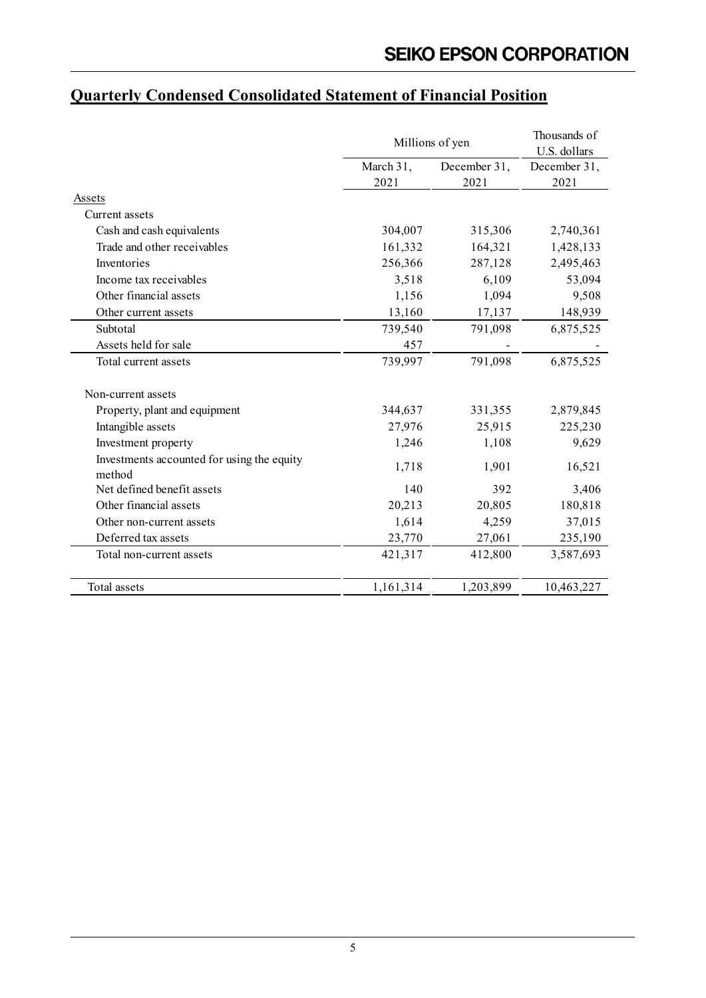|                                                      | Millions of yen | Thousands of<br>U.S. dollars |              |
|------------------------------------------------------|-----------------|------------------------------|--------------|
|                                                      | March 31,       | December 31,                 | December 31, |
|                                                      | 2021            | 2021                         | 2021         |
| Assets                                               |                 |                              |              |
| Current assets                                       |                 |                              |              |
| Cash and cash equivalents                            | 304,007         | 315,306                      | 2,740,361    |
| Trade and other receivables                          | 161,332         | 164,321                      | 1,428,133    |
| Inventories                                          | 256,366         | 287,128                      | 2,495,463    |
| Income tax receivables                               | 3,518           | 6,109                        | 53,094       |
| Other financial assets                               | 1,156           | 1,094                        | 9,508        |
| Other current assets                                 | 13,160          | 17,137                       | 148,939      |
| Subtotal                                             | 739,540         | 791,098                      | 6,875,525    |
| Assets held for sale                                 | 457             |                              |              |
| Total current assets                                 | 739,997         | 791,098                      | 6,875,525    |
| Non-current assets                                   |                 |                              |              |
| Property, plant and equipment                        | 344,637         | 331,355                      | 2,879,845    |
| Intangible assets                                    | 27,976          | 25,915                       | 225,230      |
| Investment property                                  | 1,246           | 1,108                        | 9,629        |
| Investments accounted for using the equity<br>method | 1,718           | 1,901                        | 16,521       |
| Net defined benefit assets                           | 140             | 392                          | 3,406        |
| Other financial assets                               | 20,213          | 20,805                       | 180,818      |
| Other non-current assets                             | 1,614           | 4,259                        | 37,015       |
| Deferred tax assets                                  | 23,770          | 27,061                       | 235,190      |
| Total non-current assets                             | 421,317         | 412,800                      | 3,587,693    |
| Total assets                                         | 1,161,314       | 1,203,899                    | 10,463,227   |

# **Quarterly Condensed Consolidated Statement of Financial Position**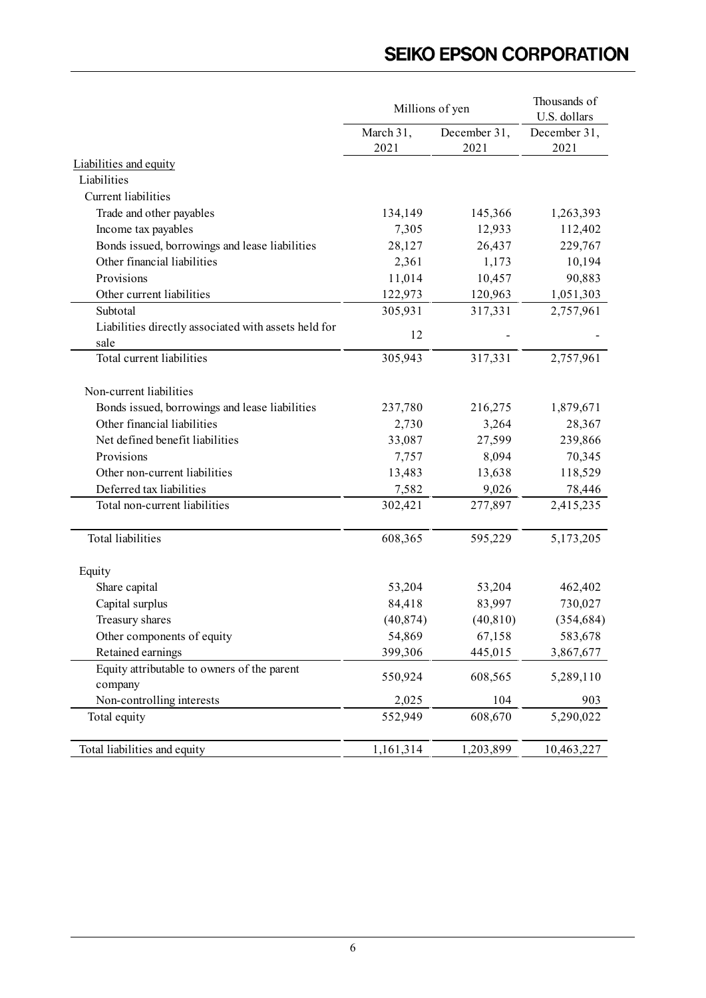|                                                      | Millions of yen | Thousands of<br>U.S. dollars |              |
|------------------------------------------------------|-----------------|------------------------------|--------------|
|                                                      | March 31,       | December 31,                 | December 31, |
|                                                      | 2021            | 2021                         | 2021         |
| <b>Liabilities and equity</b>                        |                 |                              |              |
| Liabilities                                          |                 |                              |              |
| Current liabilities                                  |                 |                              |              |
| Trade and other payables                             | 134,149         | 145,366                      | 1,263,393    |
| Income tax payables                                  | 7,305           | 12,933                       | 112,402      |
| Bonds issued, borrowings and lease liabilities       | 28,127          | 26,437                       | 229,767      |
| Other financial liabilities                          | 2,361           | 1,173                        | 10,194       |
| Provisions                                           | 11,014          | 10,457                       | 90,883       |
| Other current liabilities                            | 122,973         | 120,963                      | 1,051,303    |
| Subtotal                                             | 305,931         | 317,331                      | 2,757,961    |
| Liabilities directly associated with assets held for | 12              |                              |              |
| sale                                                 |                 |                              |              |
| Total current liabilities                            | 305,943         | 317,331                      | 2,757,961    |
| Non-current liabilities                              |                 |                              |              |
| Bonds issued, borrowings and lease liabilities       | 237,780         | 216,275                      | 1,879,671    |
| Other financial liabilities                          | 2,730           | 3,264                        | 28,367       |
| Net defined benefit liabilities                      | 33,087          | 27,599                       | 239,866      |
| Provisions                                           | 7,757           | 8,094                        | 70,345       |
| Other non-current liabilities                        | 13,483          | 13,638                       | 118,529      |
| Deferred tax liabilities                             | 7,582           | 9,026                        | 78,446       |
| Total non-current liabilities                        | 302,421         | 277,897                      | 2,415,235    |
| <b>Total liabilities</b>                             | 608,365         | 595,229                      | 5,173,205    |
| Equity                                               |                 |                              |              |
| Share capital                                        | 53,204          | 53,204                       | 462,402      |
| Capital surplus                                      | 84,418          | 83,997                       | 730,027      |
| Treasury shares                                      | (40, 874)       | (40, 810)                    | (354, 684)   |
| Other components of equity                           | 54,869          | 67,158                       | 583,678      |
| Retained earnings                                    | 399,306         | 445,015                      | 3,867,677    |
| Equity attributable to owners of the parent          | 550,924         | 608,565                      |              |
| company                                              |                 |                              | 5,289,110    |
| Non-controlling interests                            | 2,025           | 104                          | 903          |
| Total equity                                         | 552,949         | 608,670                      | 5,290,022    |
| Total liabilities and equity                         | 1,161,314       | 1,203,899                    | 10,463,227   |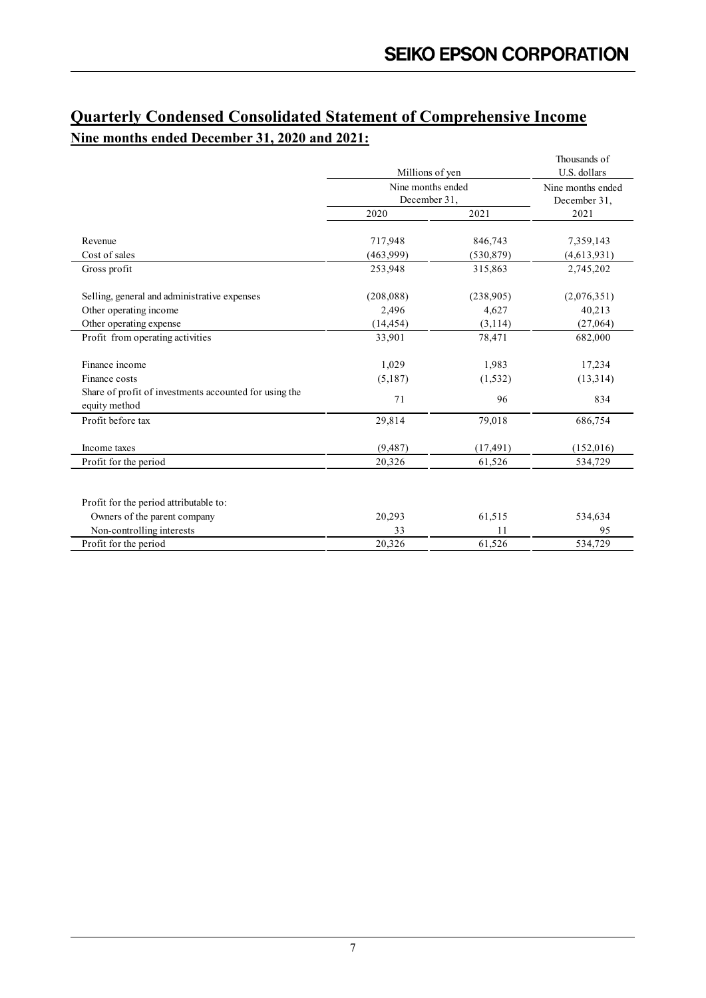## **Quarterly Condensed Consolidated Statement of Comprehensive Income Nine months ended December 31, 2020 and 2021:**

|                                                        |              |                                      | U.S. dollars      |  |
|--------------------------------------------------------|--------------|--------------------------------------|-------------------|--|
|                                                        |              | Millions of yen<br>Nine months ended |                   |  |
|                                                        |              |                                      | Nine months ended |  |
|                                                        | December 31, |                                      | December 31,      |  |
|                                                        | 2020         | 2021                                 | 2021              |  |
| Revenue                                                | 717,948      | 846,743                              | 7,359,143         |  |
| Cost of sales                                          | (463,999)    | (530, 879)                           | (4,613,931)       |  |
| Gross profit                                           | 253,948      | 315,863                              | 2,745,202         |  |
| Selling, general and administrative expenses           | (208, 088)   | (238,905)                            | (2,076,351)       |  |
| Other operating income                                 | 2,496        | 4,627                                | 40,213            |  |
| Other operating expense                                | (14, 454)    | (3,114)                              | (27,064)          |  |
| Profit from operating activities                       | 33,901       | 78,471                               | 682,000           |  |
| Finance income                                         | 1,029        | 1,983                                | 17,234            |  |
| Finance costs                                          | (5,187)      | (1, 532)                             | (13,314)          |  |
| Share of profit of investments accounted for using the | 71           | 96                                   | 834               |  |
| equity method                                          |              |                                      |                   |  |
| Profit before tax                                      | 29,814       | 79,018                               | 686,754           |  |
| Income taxes                                           | (9,487)      | (17, 491)                            | (152,016)         |  |
| Profit for the period                                  | 20,326       | 61,526                               | 534,729           |  |
|                                                        |              |                                      |                   |  |
| Profit for the period attributable to:                 |              |                                      |                   |  |
| Owners of the parent company                           | 20,293       | 61,515                               | 534,634           |  |
| Non-controlling interests                              | 33           | 11                                   | 95                |  |
| Profit for the period                                  | 20,326       | 61,526                               | 534,729           |  |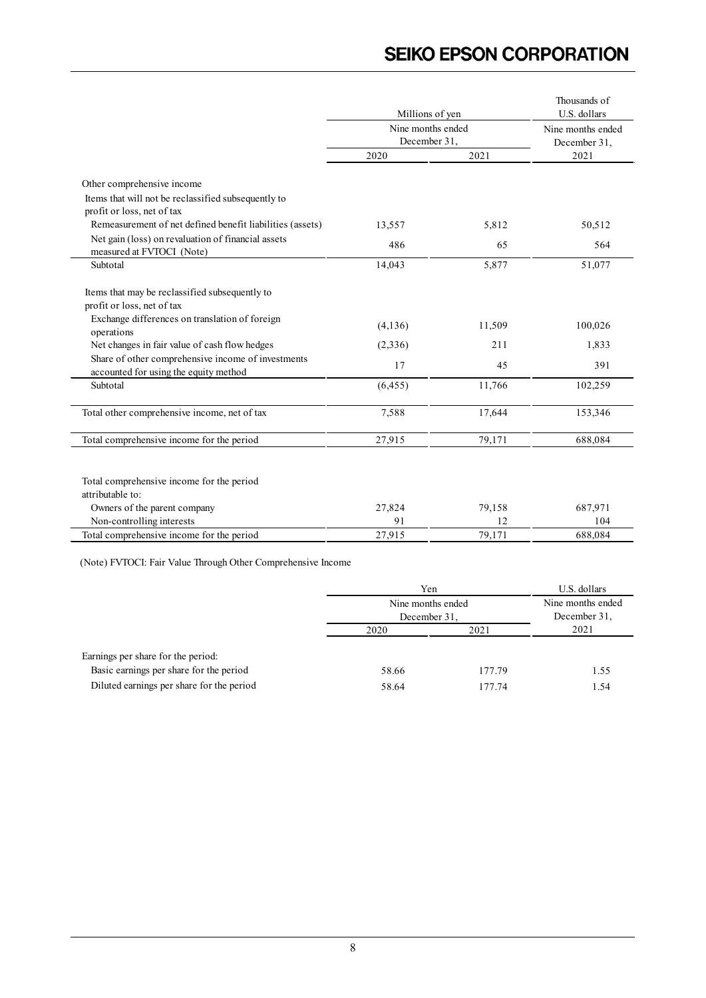|                                                                                                                                | Millions of yen                   | Thousands of<br>U.S. dollars |                                   |  |
|--------------------------------------------------------------------------------------------------------------------------------|-----------------------------------|------------------------------|-----------------------------------|--|
|                                                                                                                                | Nine months ended<br>December 31, |                              | Nine months ended<br>December 31, |  |
|                                                                                                                                | 2020                              | 2021                         | 2021                              |  |
| Other comprehensive income                                                                                                     |                                   |                              |                                   |  |
| Items that will not be reclassified subsequently to<br>profit or loss, net of tax                                              |                                   |                              |                                   |  |
| Remeasurement of net defined benefit liabilities (assets)                                                                      | 13,557                            | 5,812                        | 50,512                            |  |
| Net gain (loss) on revaluation of financial assets<br>measured at FVTOCI (Note)                                                | 486                               | 65                           | 564                               |  |
| Subtotal                                                                                                                       | 14,043                            | 5,877                        | 51,077                            |  |
| Items that may be reclassified subsequently to<br>profit or loss, net of tax<br>Exchange differences on translation of foreign | (4, 136)                          | 11,509                       | 100,026                           |  |
| operations<br>Net changes in fair value of cash flow hedges                                                                    | (2,336)                           | 211                          | 1,833                             |  |
| Share of other comprehensive income of investments<br>accounted for using the equity method                                    | 17                                | 45                           | 391                               |  |
| Subtotal                                                                                                                       | (6, 455)                          | 11,766                       | 102,259                           |  |
| Total other comprehensive income, net of tax                                                                                   | 7,588                             | 17,644                       | 153,346                           |  |
| Total comprehensive income for the period                                                                                      | 27,915                            | 79,171                       | 688,084                           |  |
| Total comprehensive income for the period<br>attributable to:                                                                  |                                   |                              |                                   |  |
| Owners of the parent company                                                                                                   | 27,824                            | 79,158                       | 687,971                           |  |
| Non-controlling interests                                                                                                      | 91                                | 12                           | 104                               |  |
| Total comprehensive income for the period                                                                                      | 27,915                            | 79,171                       | 688,084                           |  |

|                                           | Yen<br>Nine months ended<br>December 31, | U.S. dollars<br>Nine months ended<br>December 31, |      |
|-------------------------------------------|------------------------------------------|---------------------------------------------------|------|
|                                           | 2020                                     | 2021                                              | 2021 |
| Earnings per share for the period:        |                                          |                                                   |      |
| Basic earnings per share for the period   | 58.66                                    | 177.79                                            | 1.55 |
| Diluted earnings per share for the period | 58.64                                    | 177.74                                            | 1.54 |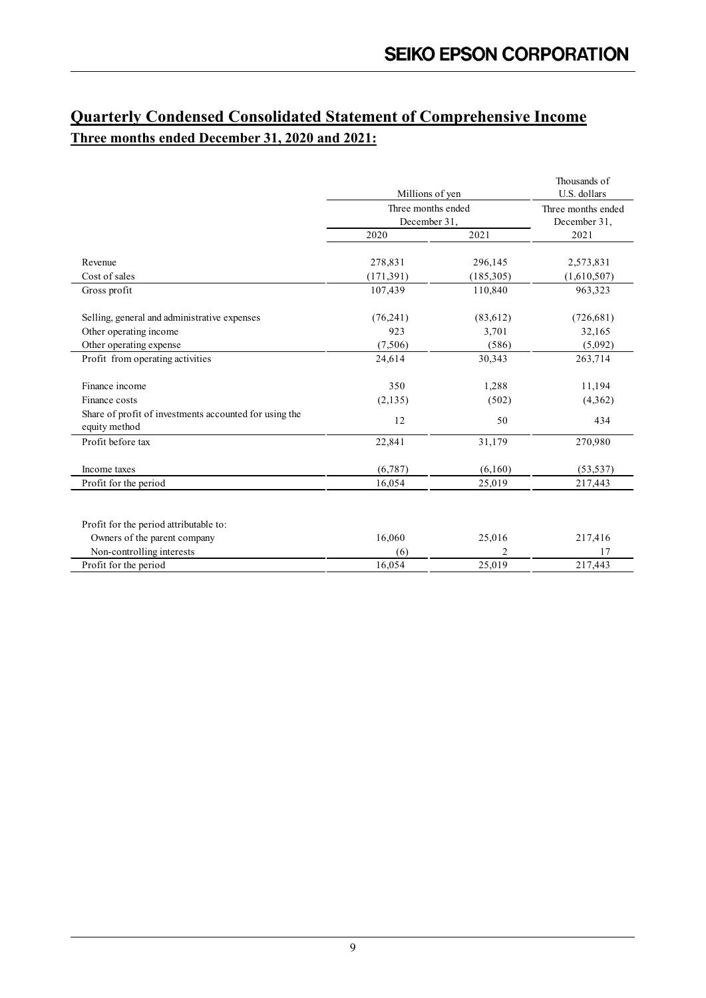## **Quarterly Condensed Consolidated Statement of Comprehensive Income Three months ended December 31, 2020 and 2021:**

|                                                                         | Millions of yen                    | Thousands of<br>U.S. dollars       |             |
|-------------------------------------------------------------------------|------------------------------------|------------------------------------|-------------|
|                                                                         | Three months ended<br>December 31, | Three months ended<br>December 31, |             |
|                                                                         | 2020                               | 2021                               | 2021        |
| Revenue                                                                 | 278,831                            | 296,145                            | 2,573,831   |
| Cost of sales                                                           | (171, 391)                         | (185,305)                          | (1,610,507) |
| Gross profit                                                            | 107,439                            | 110,840                            | 963,323     |
| Selling, general and administrative expenses                            | (76,241)                           | (83,612)                           | (726, 681)  |
| Other operating income                                                  | 923                                | 3,701                              | 32,165      |
| Other operating expense                                                 | (7,506)                            | (586)                              | (5,092)     |
| Profit from operating activities                                        | 24,614                             | 30,343                             | 263,714     |
| Finance income                                                          | 350                                | 1,288                              | 11,194      |
| Finance costs                                                           | (2, 135)                           | (502)                              | (4,362)     |
| Share of profit of investments accounted for using the<br>equity method | 12                                 | 50                                 | 434         |
| Profit before tax                                                       | 22,841                             | 31,179                             | 270,980     |
| Income taxes                                                            | (6,787)                            | (6,160)                            | (53, 537)   |
| Profit for the period                                                   | 16,054                             | 25,019                             | 217,443     |
|                                                                         |                                    |                                    |             |
| Profit for the period attributable to:                                  |                                    |                                    |             |
| Owners of the parent company                                            | 16,060                             | 25,016                             | 217,416     |
| Non-controlling interests                                               | (6)                                | 2                                  | 17          |
| Profit for the period                                                   | 16,054                             | 25,019                             | 217,443     |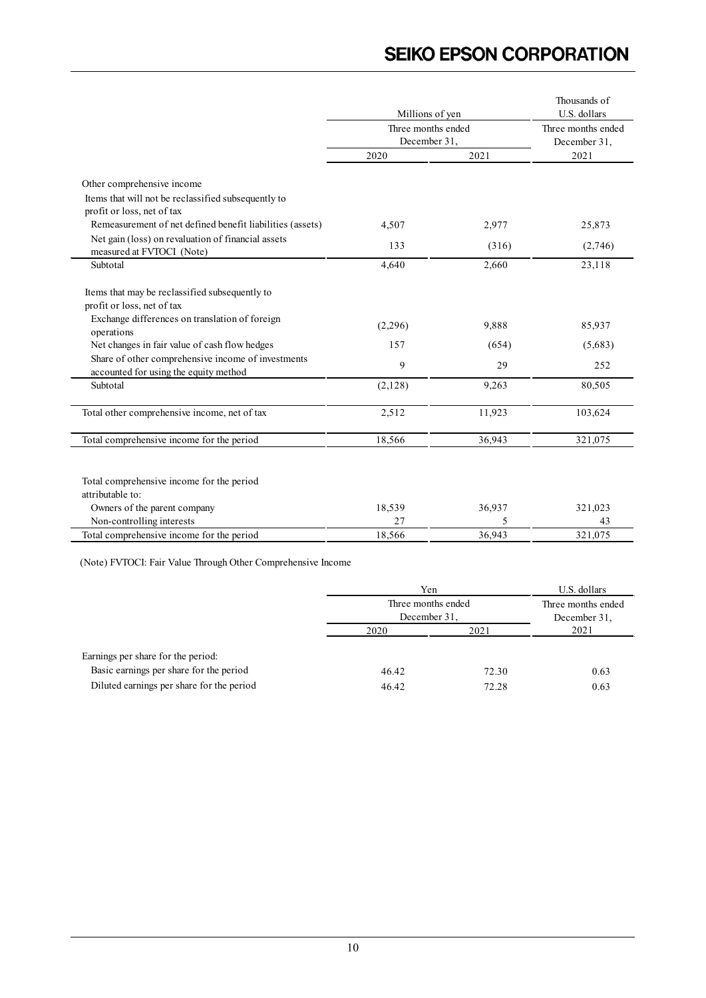|                                                                                                                                | Millions of yen                    | Thousands of<br>U.S. dollars       |         |  |
|--------------------------------------------------------------------------------------------------------------------------------|------------------------------------|------------------------------------|---------|--|
|                                                                                                                                | Three months ended<br>December 31, | Three months ended<br>December 31, |         |  |
|                                                                                                                                | 2020                               | 2021                               | 2021    |  |
| Other comprehensive income                                                                                                     |                                    |                                    |         |  |
| Items that will not be reclassified subsequently to                                                                            |                                    |                                    |         |  |
| profit or loss, net of tax                                                                                                     |                                    |                                    |         |  |
| Remeasurement of net defined benefit liabilities (assets)                                                                      | 4,507                              | 2,977                              | 25,873  |  |
| Net gain (loss) on revaluation of financial assets<br>measured at FVTOCI (Note)                                                | 133                                | (316)                              | (2,746) |  |
| Subtotal                                                                                                                       | 4,640                              | 2,660                              | 23,118  |  |
| Items that may be reclassified subsequently to<br>profit or loss, net of tax<br>Exchange differences on translation of foreign |                                    |                                    |         |  |
| operations                                                                                                                     | (2,296)                            | 9,888                              | 85,937  |  |
| Net changes in fair value of cash flow hedges                                                                                  | 157                                | (654)                              | (5,683) |  |
| Share of other comprehensive income of investments<br>accounted for using the equity method                                    | 9                                  | 29                                 | 252     |  |
| Subtotal                                                                                                                       | (2,128)                            | 9,263                              | 80,505  |  |
| Total other comprehensive income, net of tax                                                                                   | 2,512                              | 11,923                             | 103,624 |  |
| Total comprehensive income for the period                                                                                      | 18,566                             | 36,943                             | 321,075 |  |
| Total comprehensive income for the period<br>attributable to:                                                                  |                                    |                                    |         |  |
| Owners of the parent company                                                                                                   | 18,539                             | 36,937                             | 321,023 |  |
| Non-controlling interests                                                                                                      | 27                                 | 5                                  | 43      |  |
| Total comprehensive income for the period                                                                                      | 18,566                             | 36,943                             | 321,075 |  |

|                                           |                                    | Yen   |                                    |  |
|-------------------------------------------|------------------------------------|-------|------------------------------------|--|
|                                           | Three months ended<br>December 31, |       | Three months ended<br>December 31, |  |
|                                           | 2020                               | 2021  | 2021                               |  |
| Earnings per share for the period:        |                                    |       |                                    |  |
| Basic earnings per share for the period   | 46.42                              | 72.30 | 0.63                               |  |
| Diluted earnings per share for the period | 46.42                              | 72.28 | 0.63                               |  |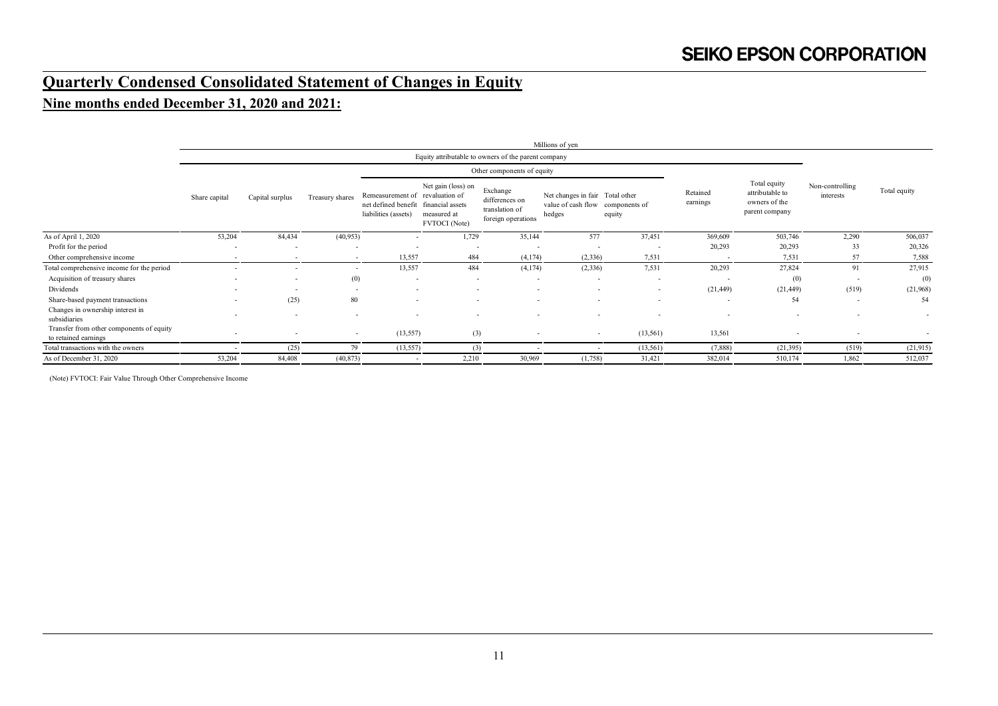# **Quarterly Condensed Consolidated Statement of Changes in Equity**

### **Nine months ended December 31, 2020 and 2021:**

|                                                                  |                          |                          |                          |                                                                                                 |                                                    |                                                                    | Millions of yen                                                               |                          |                          |                          |        |                          |                                                                    |  |                              |              |
|------------------------------------------------------------------|--------------------------|--------------------------|--------------------------|-------------------------------------------------------------------------------------------------|----------------------------------------------------|--------------------------------------------------------------------|-------------------------------------------------------------------------------|--------------------------|--------------------------|--------------------------|--------|--------------------------|--------------------------------------------------------------------|--|------------------------------|--------------|
|                                                                  |                          |                          |                          |                                                                                                 |                                                    | Equity attributable to owners of the parent company                |                                                                               |                          |                          |                          |        |                          |                                                                    |  |                              |              |
|                                                                  |                          |                          |                          |                                                                                                 |                                                    | Other components of equity                                         |                                                                               |                          |                          |                          |        |                          |                                                                    |  |                              |              |
|                                                                  | Share capital            | Capital surplus          | Treasury shares          | Remeasurement of revaluation of<br>net defined benefit financial assets<br>liabilities (assets) | Net gain (loss) on<br>measured at<br>FVTOCI (Note) | Exchange<br>differences on<br>translation of<br>foreign operations | Net changes in fair Total other<br>value of cash flow components of<br>hedges | equity                   | Retained<br>earnings     |                          |        |                          | Total equity<br>attributable to<br>owners of the<br>parent company |  | Non-controlling<br>interests | Total equity |
| As of April 1, 2020                                              | 53,204                   | 84,434                   | (40, 953)                | $\overline{\phantom{a}}$                                                                        | 1,729                                              | 35,144                                                             | 577                                                                           | 37,451                   | 369,609                  | 503,746                  | 2,290  | 506,037                  |                                                                    |  |                              |              |
| Profit for the period                                            | $\overline{\phantom{a}}$ | $\overline{\phantom{a}}$ |                          | ٠                                                                                               | $\overline{\phantom{a}}$                           | $\overline{\phantom{a}}$                                           |                                                                               |                          | 20,293                   | 20,293                   | 33     | 20,326                   |                                                                    |  |                              |              |
| Other comprehensive income                                       | $\overline{\phantom{a}}$ | $\overline{\phantom{a}}$ | $\overline{\phantom{a}}$ | 13,557                                                                                          | 484                                                | (4, 174)                                                           | (2, 336)                                                                      | 7,531                    |                          | 7,531                    | 57     | 7,588                    |                                                                    |  |                              |              |
| Total comprehensive income for the period                        | $\overline{\phantom{a}}$ |                          | $\sim$                   | 13,557                                                                                          | 484                                                | (4,174)                                                            | (2, 336)                                                                      | 7,531                    | 20,293                   | 27,824                   | 91     | 27,915                   |                                                                    |  |                              |              |
| Acquisition of treasury shares                                   | $\overline{\phantom{a}}$ | $\overline{\phantom{a}}$ | (0)                      | $\overline{\phantom{a}}$                                                                        | $\overline{\phantom{a}}$                           | $\overline{\phantom{a}}$                                           | $\overline{\phantom{a}}$                                                      |                          | $\overline{\phantom{a}}$ | (0)                      | $\sim$ | (0)                      |                                                                    |  |                              |              |
| Dividends                                                        | $\overline{\phantom{a}}$ | $\overline{\phantom{a}}$ | $\sim$                   | $\overline{\phantom{a}}$                                                                        | $\overline{\phantom{0}}$                           | $\sim$                                                             | $\overline{\phantom{a}}$                                                      | $\overline{\phantom{a}}$ | (21, 449)                | (21, 449)                | (519)  | (21,968)                 |                                                                    |  |                              |              |
| Share-based payment transactions                                 | $\overline{\phantom{a}}$ | (25)                     | 80                       | $\overline{\phantom{a}}$                                                                        | $\sim$                                             | $\overline{\phantom{a}}$                                           | $\overline{\phantom{a}}$                                                      |                          | $\overline{\phantom{a}}$ | 54                       | $\sim$ | 54                       |                                                                    |  |                              |              |
| Changes in ownership interest in<br>subsidiaries                 | $\overline{\phantom{a}}$ | $\overline{\phantom{a}}$ |                          | $\overline{\phantom{a}}$                                                                        | $\overline{\phantom{a}}$                           | $\overline{\phantom{a}}$                                           | $\overline{\phantom{a}}$                                                      |                          | $\overline{\phantom{a}}$ | $\overline{\phantom{a}}$ |        | $\overline{\phantom{a}}$ |                                                                    |  |                              |              |
| Transfer from other components of equity<br>to retained earnings |                          |                          | $\sim$                   | (13, 557)                                                                                       | (3)                                                | $\overline{\phantom{a}}$                                           | $\sim$                                                                        | (13, 561)                | 13,561                   |                          |        | $\overline{\phantom{a}}$ |                                                                    |  |                              |              |
| Total transactions with the owners                               |                          | (25)                     | 79                       | (13, 557)                                                                                       | (3)                                                |                                                                    |                                                                               | (13, 561)                | (7,888)                  | (21, 395)                | (519)  | (21, 915)                |                                                                    |  |                              |              |
| As of December 31, 2020                                          | 53,204                   | 84,408                   | (40, 873)                | $\overline{\phantom{a}}$                                                                        | 2,210                                              | 30,969                                                             | (1,758)                                                                       | 31,421                   | 382,014                  | 510,174                  | 1,862  | 512,037                  |                                                                    |  |                              |              |
|                                                                  |                          |                          |                          |                                                                                                 |                                                    |                                                                    |                                                                               |                          |                          |                          |        |                          |                                                                    |  |                              |              |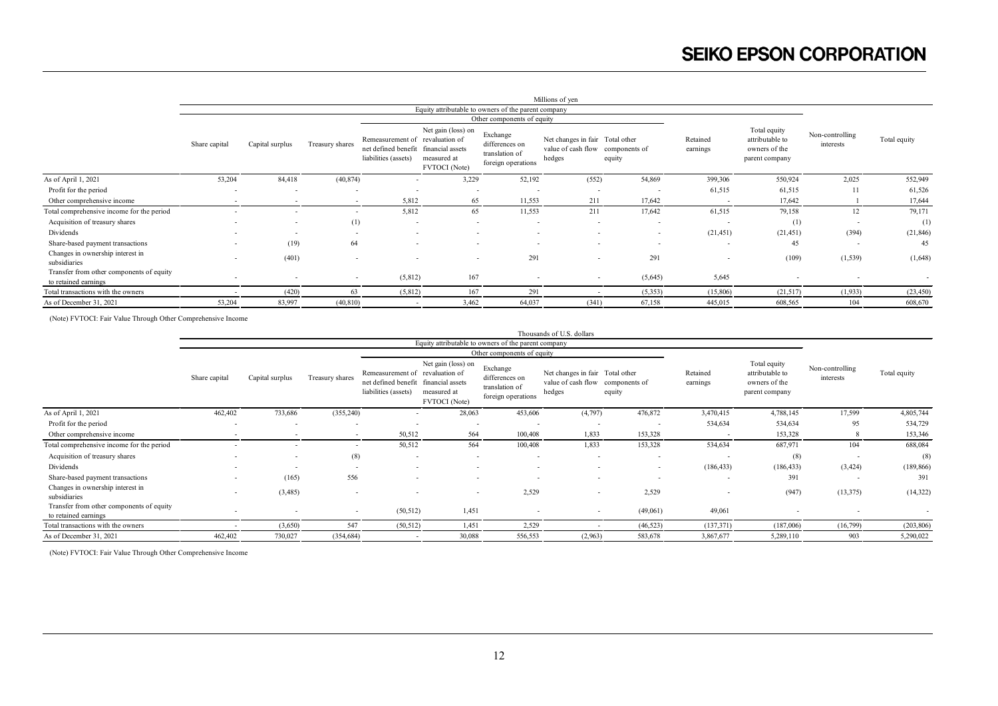|                                                                  |                          |                          |                          |                                                                                                 |                                                    |                                                                    | Millions of yen                                                               |                          |                          |                                                                    |                              |                          |
|------------------------------------------------------------------|--------------------------|--------------------------|--------------------------|-------------------------------------------------------------------------------------------------|----------------------------------------------------|--------------------------------------------------------------------|-------------------------------------------------------------------------------|--------------------------|--------------------------|--------------------------------------------------------------------|------------------------------|--------------------------|
|                                                                  |                          |                          |                          |                                                                                                 |                                                    | Equity attributable to owners of the parent company                |                                                                               |                          |                          |                                                                    |                              |                          |
|                                                                  |                          |                          |                          |                                                                                                 |                                                    | Other components of equity                                         |                                                                               |                          |                          |                                                                    |                              |                          |
|                                                                  | Share capital            | Capital surplus          | Treasury shares          | Remeasurement of revaluation of<br>net defined benefit financial assets<br>liabilities (assets) | Net gain (loss) on<br>measured at<br>FVTOCI (Note) | Exchange<br>differences on<br>translation of<br>foreign operations | Net changes in fair Total other<br>value of cash flow components of<br>hedges | equity                   | Retained<br>earnings     | Total equity<br>attributable to<br>owners of the<br>parent company | Non-controlling<br>interests | Total equity             |
| As of April 1, 2021                                              | 53,204                   | 84,418                   | (40, 874)                | $\overline{\phantom{a}}$                                                                        | 3,229                                              | 52,192                                                             | (552)                                                                         | 54,869                   | 399,306                  | 550,924                                                            | 2,025                        | 552,949                  |
| Profit for the period                                            | $\overline{\phantom{a}}$ | $\overline{\phantom{a}}$ | $\overline{\phantom{a}}$ | $\overline{\phantom{a}}$                                                                        | $\overline{\phantom{a}}$                           | $\sim$                                                             | $\overline{\phantom{a}}$                                                      | $\overline{\phantom{a}}$ | 61,515                   | 61,515                                                             | 11                           | 61,526                   |
| Other comprehensive income                                       | $\overline{\phantom{a}}$ | $\overline{\phantom{a}}$ | $\sim$                   | 5,812                                                                                           | 65                                                 | 11,553                                                             | 211                                                                           | 17,642                   | $\overline{\phantom{a}}$ | 17,642                                                             |                              | 17,644                   |
| Total comprehensive income for the period                        | $\overline{\phantom{a}}$ |                          | $\sim$                   | 5,812                                                                                           | 65                                                 | 11,553                                                             | 211                                                                           | 17,642                   | 61,515                   | 79,158                                                             | 12                           | 79,171                   |
| Acquisition of treasury shares                                   | $\overline{\phantom{a}}$ | $\sim$                   | (1)                      | $\overline{\phantom{a}}$                                                                        |                                                    | $\overline{\phantom{a}}$                                           |                                                                               |                          | $\overline{\phantom{a}}$ | (1)                                                                | $\overline{\phantom{a}}$     | (1)                      |
| Dividends                                                        | $\overline{\phantom{a}}$ | $\overline{\phantom{a}}$ | $\sim$                   | $\overline{\phantom{a}}$                                                                        | $\sim$                                             | $\overline{\phantom{a}}$                                           | $\overline{\phantom{a}}$                                                      | $\overline{\phantom{a}}$ | (21, 451)                | (21, 451)                                                          | (394)                        | (21, 846)                |
| Share-based payment transactions                                 |                          | (19)                     | 64                       | $\overline{\phantom{a}}$                                                                        |                                                    |                                                                    |                                                                               |                          |                          | 45                                                                 | $\overline{\phantom{a}}$     | 45                       |
| Changes in ownership interest in<br>subsidiaries                 | $\overline{\phantom{a}}$ | (401)                    | $\overline{\phantom{a}}$ | $\overline{\phantom{0}}$                                                                        |                                                    | 291                                                                | $\overline{\phantom{a}}$                                                      | 291                      | $\overline{\phantom{a}}$ | (109)                                                              | (1, 539)                     | (1,648)                  |
| Transfer from other components of equity<br>to retained earnings | $\overline{\phantom{a}}$ | $\overline{\phantom{a}}$ | $\overline{\phantom{a}}$ | (5,812)                                                                                         | 167                                                | $\overline{\phantom{a}}$                                           | $\overline{\phantom{a}}$                                                      | (5,645)                  | 5,645                    | $\overline{\phantom{a}}$                                           | $\overline{\phantom{a}}$     | $\overline{\phantom{a}}$ |
| Total transactions with the owners                               |                          | (420)                    | 63                       | (5,812)                                                                                         | 167                                                | 291                                                                |                                                                               | (5,353)                  | (15,806)                 | (21,517)                                                           | (1,933)                      | (23, 450)                |
| As of December 31, 2021                                          | 53,204                   | 83,997                   | (40, 810)                | $\overline{\phantom{a}}$                                                                        | 3,462                                              | 64,037                                                             | (341)                                                                         | 67,158                   | 445,015                  | 608,565                                                            | 104                          | 608,670                  |
|                                                                  |                          |                          |                          |                                                                                                 |                                                    |                                                                    |                                                                               |                          |                          |                                                                    |                              |                          |

(Note) FVTOCI: Fair Value Through Other Comprehensive Income

|                                                                  |                          |                          |                          |                                                                                                 |                                                    |                                                                    | Thousands of U.S. dollars                                                     |                          |                          |                                                                    |                              |                          |
|------------------------------------------------------------------|--------------------------|--------------------------|--------------------------|-------------------------------------------------------------------------------------------------|----------------------------------------------------|--------------------------------------------------------------------|-------------------------------------------------------------------------------|--------------------------|--------------------------|--------------------------------------------------------------------|------------------------------|--------------------------|
|                                                                  |                          |                          |                          |                                                                                                 |                                                    | Equity attributable to owners of the parent company                |                                                                               |                          |                          |                                                                    |                              |                          |
|                                                                  |                          |                          |                          |                                                                                                 |                                                    | Other components of equity                                         |                                                                               |                          |                          |                                                                    |                              |                          |
|                                                                  | Share capital            | Capital surplus          | Treasury shares          | Remeasurement of revaluation of<br>net defined benefit financial assets<br>liabilities (assets) | Net gain (loss) on<br>measured at<br>FVTOCI (Note) | Exchange<br>differences on<br>translation of<br>foreign operations | Net changes in fair Total other<br>value of cash flow components of<br>hedges | equity                   | Retained<br>earnings     | Total equity<br>attributable to<br>owners of the<br>parent company | Non-controlling<br>interests | Total equity             |
| As of April 1, 2021                                              | 462,402                  | 733,686                  | (355, 240)               | ۰                                                                                               | 28,063                                             | 453,606                                                            | (4,797)                                                                       | 476,872                  | 3,470,415                | 4,788,145                                                          | 17,599                       | 4,805,744                |
| Profit for the period                                            | $\overline{\phantom{a}}$ | $\overline{\phantom{a}}$ |                          | $\overline{\phantom{a}}$                                                                        | $\overline{\phantom{a}}$                           | $\overline{\phantom{a}}$                                           | $\overline{\phantom{a}}$                                                      | $\overline{\phantom{a}}$ | 534,634                  | 534,634                                                            | 95                           | 534,729                  |
| Other comprehensive income                                       | $\overline{\phantom{a}}$ | $\overline{\phantom{a}}$ | $\overline{\phantom{a}}$ | 50,512                                                                                          | 564                                                | 100,408                                                            | 1,833                                                                         | 153,328                  | $\overline{\phantom{a}}$ | 153,328                                                            | 8                            | 153,346                  |
| Total comprehensive income for the period                        | $\overline{\phantom{a}}$ |                          | $\sim$                   | 50,512                                                                                          | 564                                                | 100,408                                                            | 1,833                                                                         | 153,328                  | 534,634                  | 687,971                                                            | 104                          | 688,084                  |
| Acquisition of treasury shares                                   | $\overline{\phantom{a}}$ | $\overline{\phantom{a}}$ | (8)                      | $\overline{\phantom{a}}$                                                                        | $\overline{\phantom{a}}$                           | $\overline{\phantom{a}}$                                           | $\overline{\phantom{a}}$                                                      | $\overline{\phantom{a}}$ | $\overline{\phantom{a}}$ | (8)                                                                | $\sim$                       | (8)                      |
| Dividends                                                        | $\overline{\phantom{a}}$ |                          | $\sim$                   | $\overline{\phantom{a}}$                                                                        | $\overline{\phantom{a}}$                           | $\overline{\phantom{a}}$                                           |                                                                               | $\overline{\phantom{a}}$ | (186, 433)               | (186, 433)                                                         | (3, 424)                     | (189, 866)               |
| Share-based payment transactions                                 | $\overline{\phantom{a}}$ | (165)                    | 556                      | $\overline{\phantom{a}}$                                                                        | $\overline{\phantom{a}}$                           |                                                                    |                                                                               |                          | $\overline{\phantom{a}}$ | 391                                                                | $\sim$                       | 391                      |
| Changes in ownership interest in<br>subsidiaries                 | $\overline{\phantom{a}}$ | (3,485)                  |                          | $\overline{\phantom{a}}$                                                                        |                                                    | 2,529<br>$\overline{\phantom{a}}$                                  | $\overline{\phantom{a}}$                                                      | 2,529                    | $\overline{\phantom{a}}$ | (947)                                                              | (13, 375)                    | (14,322)                 |
| Transfer from other components of equity<br>to retained earnings | $\overline{\phantom{a}}$ | $\overline{\phantom{a}}$ | $\sim$                   | (50, 512)                                                                                       | 1,451                                              |                                                                    | $\overline{\phantom{a}}$                                                      | (49,061)                 | 49,061                   |                                                                    |                              | $\overline{\phantom{a}}$ |
| Total transactions with the owners                               |                          | (3,650)                  | 547                      | (50, 512)                                                                                       | 1,451                                              | 2,529                                                              |                                                                               | (46, 523)                | (137, 371)               | (187,006)                                                          | (16,799)                     | (203, 806)               |
| As of December 31, 2021                                          | 462,402                  | 730,027                  | (354, 684)               |                                                                                                 | 30,088                                             | 556,553                                                            | (2,963)                                                                       | 583,678                  | 3,867,677                | 5,289,110                                                          | 903                          | 5,290,022                |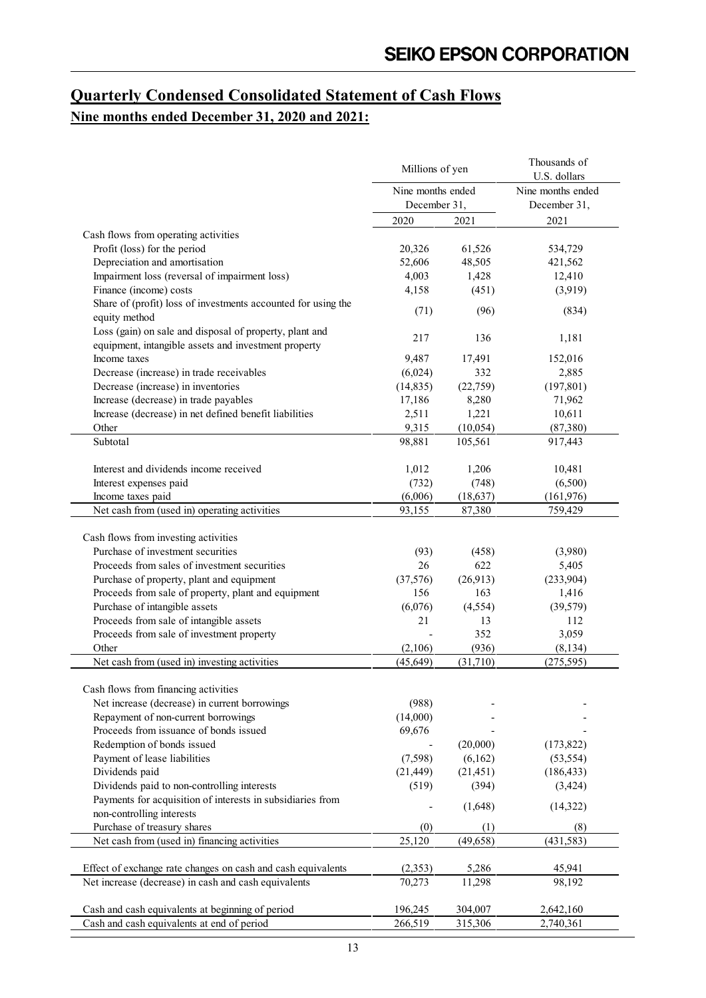## **Quarterly Condensed Consolidated Statement of Cash Flows Nine months ended December 31, 2020 and 2021:**

|                                                                                       | Millions of yen   |           | Thousands of<br>U.S. dollars |  |  |
|---------------------------------------------------------------------------------------|-------------------|-----------|------------------------------|--|--|
|                                                                                       | Nine months ended |           | Nine months ended            |  |  |
|                                                                                       | December 31,      |           | December 31,                 |  |  |
|                                                                                       | 2020              | 2021      | 2021                         |  |  |
| Cash flows from operating activities                                                  |                   |           |                              |  |  |
| Profit (loss) for the period                                                          | 20,326            | 61,526    | 534,729                      |  |  |
| Depreciation and amortisation                                                         | 52,606            | 48,505    | 421,562                      |  |  |
| Impairment loss (reversal of impairment loss)                                         | 4,003             | 1,428     | 12,410                       |  |  |
| Finance (income) costs                                                                | 4,158             | (451)     | (3,919)                      |  |  |
| Share of (profit) loss of investments accounted for using the                         |                   |           |                              |  |  |
| equity method                                                                         | (71)              | (96)      | (834)                        |  |  |
| Loss (gain) on sale and disposal of property, plant and                               |                   |           |                              |  |  |
| equipment, intangible assets and investment property                                  | 217               | 136       | 1,181                        |  |  |
| Income taxes                                                                          | 9,487             | 17,491    | 152,016                      |  |  |
| Decrease (increase) in trade receivables                                              | (6,024)           | 332       | 2,885                        |  |  |
| Decrease (increase) in inventories                                                    | (14, 835)         | (22,759)  | (197, 801)                   |  |  |
| Increase (decrease) in trade payables                                                 | 17,186            | 8,280     | 71,962                       |  |  |
| Increase (decrease) in net defined benefit liabilities                                | 2,511             | 1,221     | 10,611                       |  |  |
| Other                                                                                 | 9,315             | (10, 054) | (87, 380)                    |  |  |
| Subtotal                                                                              | 98,881            | 105,561   | 917,443                      |  |  |
| Interest and dividends income received                                                | 1,012             | 1,206     | 10,481                       |  |  |
| Interest expenses paid                                                                | (732)             | (748)     | (6,500)                      |  |  |
| Income taxes paid                                                                     | (6,006)           | (18, 637) | (161, 976)                   |  |  |
| Net cash from (used in) operating activities                                          | 93,155            | 87,380    | 759,429                      |  |  |
|                                                                                       |                   |           |                              |  |  |
| Cash flows from investing activities                                                  |                   |           |                              |  |  |
| Purchase of investment securities                                                     | (93)              | (458)     | (3,980)                      |  |  |
| Proceeds from sales of investment securities                                          | 26                | 622       | 5,405                        |  |  |
| Purchase of property, plant and equipment                                             | (37,576)          | (26,913)  | (233,904)                    |  |  |
| Proceeds from sale of property, plant and equipment                                   | 156               | 163       | 1,416                        |  |  |
| Purchase of intangible assets                                                         | (6,076)           | (4, 554)  | (39, 579)                    |  |  |
| Proceeds from sale of intangible assets                                               | 21                | 13        | 112                          |  |  |
| Proceeds from sale of investment property                                             |                   | 352       | 3,059                        |  |  |
| Other                                                                                 | (2,106)           | (936)     | (8, 134)                     |  |  |
| Net cash from (used in) investing activities                                          | (45, 649)         | (31,710)  | (275, 595)                   |  |  |
|                                                                                       |                   |           |                              |  |  |
| Cash flows from financing activities<br>Net increase (decrease) in current borrowings |                   |           |                              |  |  |
| Repayment of non-current borrowings                                                   | (988)             |           |                              |  |  |
| Proceeds from issuance of bonds issued                                                | (14,000)          |           |                              |  |  |
|                                                                                       | 69,676            |           |                              |  |  |
| Redemption of bonds issued                                                            |                   | (20,000)  | (173, 822)                   |  |  |
| Payment of lease liabilities                                                          | (7,598)           | (6,162)   | (53, 554)                    |  |  |
| Dividends paid                                                                        | (21, 449)         | (21, 451) | (186, 433)                   |  |  |
| Dividends paid to non-controlling interests                                           | (519)             | (394)     | (3, 424)                     |  |  |
| Payments for acquisition of interests in subsidiaries from                            |                   | (1,648)   | (14, 322)                    |  |  |
| non-controlling interests                                                             |                   |           |                              |  |  |
| Purchase of treasury shares                                                           | (0)               | (1)       | (8)                          |  |  |
| Net cash from (used in) financing activities                                          | 25,120            | (49, 658) | (431, 583)                   |  |  |
| Effect of exchange rate changes on cash and cash equivalents                          | (2, 353)          | 5,286     | 45,941                       |  |  |
| Net increase (decrease) in cash and cash equivalents                                  | 70,273            | 11,298    | 98,192                       |  |  |
|                                                                                       |                   |           |                              |  |  |
| Cash and cash equivalents at beginning of period                                      | 196,245           | 304,007   | 2,642,160                    |  |  |
| Cash and cash equivalents at end of period                                            | 266,519           | 315,306   | 2,740,361                    |  |  |